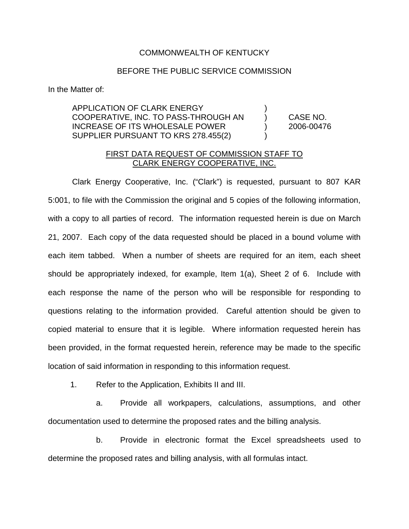## COMMONWEALTH OF KENTUCKY

## BEFORE THE PUBLIC SERVICE COMMISSION

In the Matter of:

APPLICATION OF CLARK ENERGY ) COOPERATIVE, INC. TO PASS-THROUGH AN ) CASE NO. INCREASE OF ITS WHOLESALE POWER ) 2006-00476 SUPPLIER PURSUANT TO KRS 278.455(2)  $\qquad \qquad$ )

## FIRST DATA REQUEST OF COMMISSION STAFF TO CLARK ENERGY COOPERATIVE, INC.

Clark Energy Cooperative, Inc. ("Clark") is requested, pursuant to 807 KAR 5:001, to file with the Commission the original and 5 copies of the following information, with a copy to all parties of record. The information requested herein is due on March 21, 2007. Each copy of the data requested should be placed in a bound volume with each item tabbed. When a number of sheets are required for an item, each sheet should be appropriately indexed, for example, Item 1(a), Sheet 2 of 6. Include with each response the name of the person who will be responsible for responding to questions relating to the information provided. Careful attention should be given to copied material to ensure that it is legible. Where information requested herein has been provided, in the format requested herein, reference may be made to the specific location of said information in responding to this information request.

1. Refer to the Application, Exhibits II and III.

a. Provide all workpapers, calculations, assumptions, and other documentation used to determine the proposed rates and the billing analysis.

b. Provide in electronic format the Excel spreadsheets used to determine the proposed rates and billing analysis, with all formulas intact.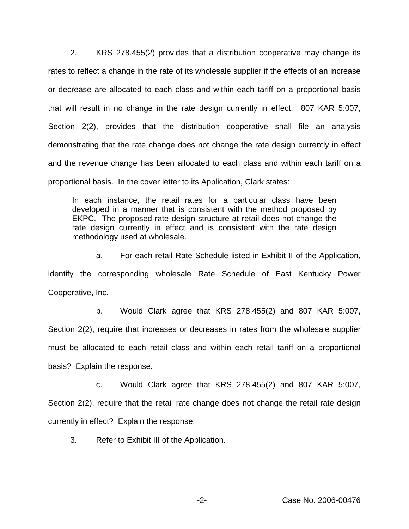2. KRS 278.455(2) provides that a distribution cooperative may change its rates to reflect a change in the rate of its wholesale supplier if the effects of an increase or decrease are allocated to each class and within each tariff on a proportional basis that will result in no change in the rate design currently in effect. 807 KAR 5:007, Section 2(2), provides that the distribution cooperative shall file an analysis demonstrating that the rate change does not change the rate design currently in effect and the revenue change has been allocated to each class and within each tariff on a proportional basis. In the cover letter to its Application, Clark states:

In each instance, the retail rates for a particular class have been developed in a manner that is consistent with the method proposed by EKPC. The proposed rate design structure at retail does not change the rate design currently in effect and is consistent with the rate design methodology used at wholesale.

a. For each retail Rate Schedule listed in Exhibit II of the Application, identify the corresponding wholesale Rate Schedule of East Kentucky Power Cooperative, Inc.

b. Would Clark agree that KRS 278.455(2) and 807 KAR 5:007, Section 2(2), require that increases or decreases in rates from the wholesale supplier must be allocated to each retail class and within each retail tariff on a proportional basis? Explain the response.

c. Would Clark agree that KRS 278.455(2) and 807 KAR 5:007, Section 2(2), require that the retail rate change does not change the retail rate design currently in effect? Explain the response.

3. Refer to Exhibit III of the Application.